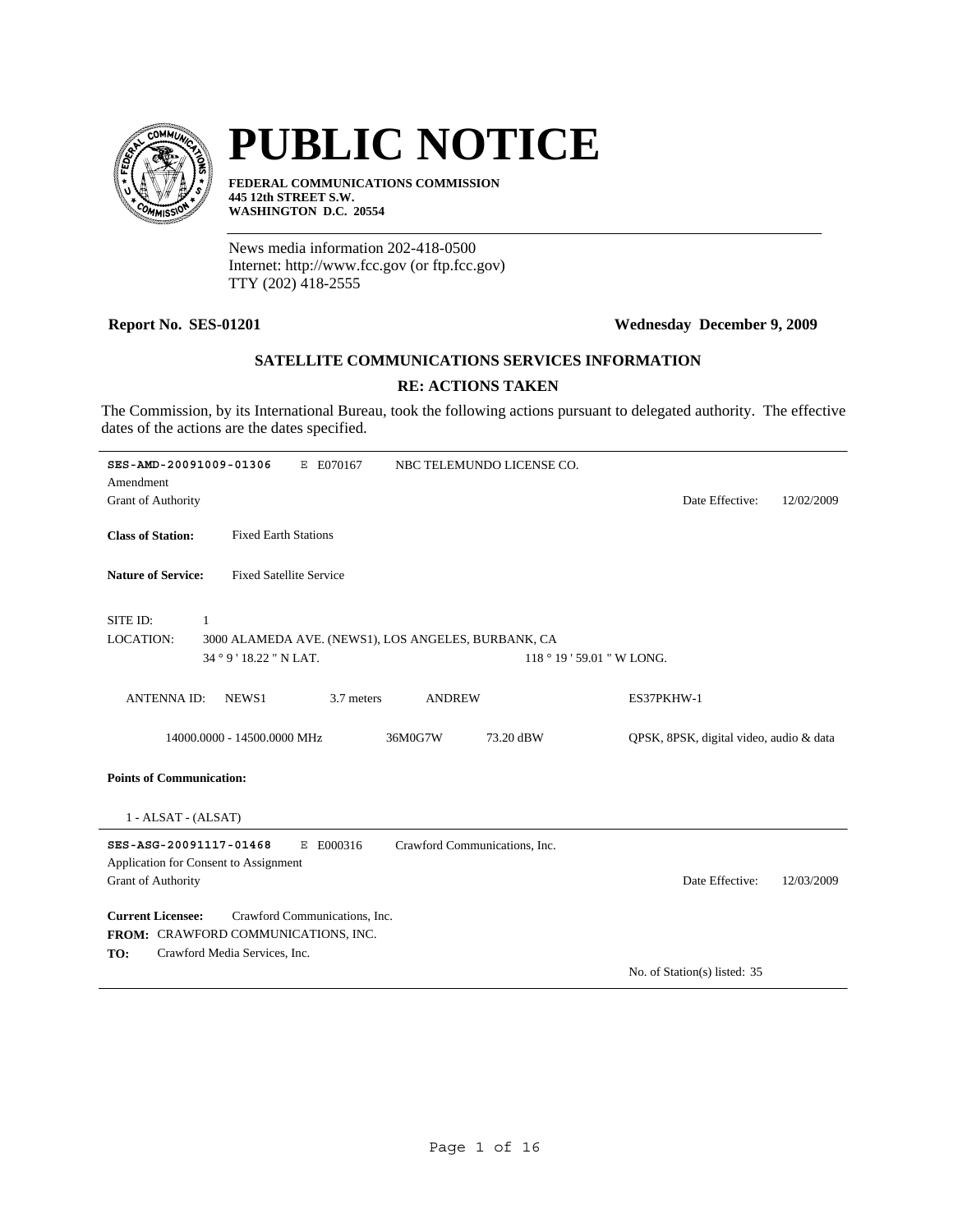

# **PUBLIC NOTICE**

**FEDERAL COMMUNICATIONS COMMISSION 445 12th STREET S.W. WASHINGTON D.C. 20554**

News media information 202-418-0500 Internet: http://www.fcc.gov (or ftp.fcc.gov) TTY (202) 418-2555

### **Report No. SES-01201 Wednesday December 9, 2009**

# **SATELLITE COMMUNICATIONS SERVICES INFORMATION**

# **RE: ACTIONS TAKEN**

The Commission, by its International Bureau, took the following actions pursuant to delegated authority. The effective dates of the actions are the dates specified.

| SES-AMD-20091009-01306<br>E E070167<br>NBC TELEMUNDO LICENSE CO.<br>Amendment |                                         |
|-------------------------------------------------------------------------------|-----------------------------------------|
| <b>Grant of Authority</b>                                                     | Date Effective:<br>12/02/2009           |
| <b>Class of Station:</b><br><b>Fixed Earth Stations</b>                       |                                         |
| <b>Fixed Satellite Service</b><br><b>Nature of Service:</b>                   |                                         |
| SITE ID:<br>$\mathbf{1}$                                                      |                                         |
| <b>LOCATION:</b><br>3000 ALAMEDA AVE. (NEWS1), LOS ANGELES, BURBANK, CA       |                                         |
| 34 ° 9 ' 18.22 " N LAT.<br>118 ° 19 ' 59.01 " W LONG.                         |                                         |
| <b>ANTENNAID:</b><br>NEWS1<br>3.7 meters<br><b>ANDREW</b>                     | ES37PKHW-1                              |
| 14000.0000 - 14500.0000 MHz<br>36M0G7W<br>73.20 dBW                           | QPSK, 8PSK, digital video, audio & data |
| <b>Points of Communication:</b>                                               |                                         |
| $1 - ALSAT - (ALSAT)$                                                         |                                         |
| SES-ASG-20091117-01468<br>E E000316<br>Crawford Communications, Inc.          |                                         |
| Application for Consent to Assignment                                         |                                         |
| Grant of Authority                                                            | Date Effective:<br>12/03/2009           |
| <b>Current Licensee:</b><br>Crawford Communications, Inc.                     |                                         |
| FROM: CRAWFORD COMMUNICATIONS, INC.                                           |                                         |
| Crawford Media Services, Inc.<br>TO:                                          | No. of Station(s) listed: 35            |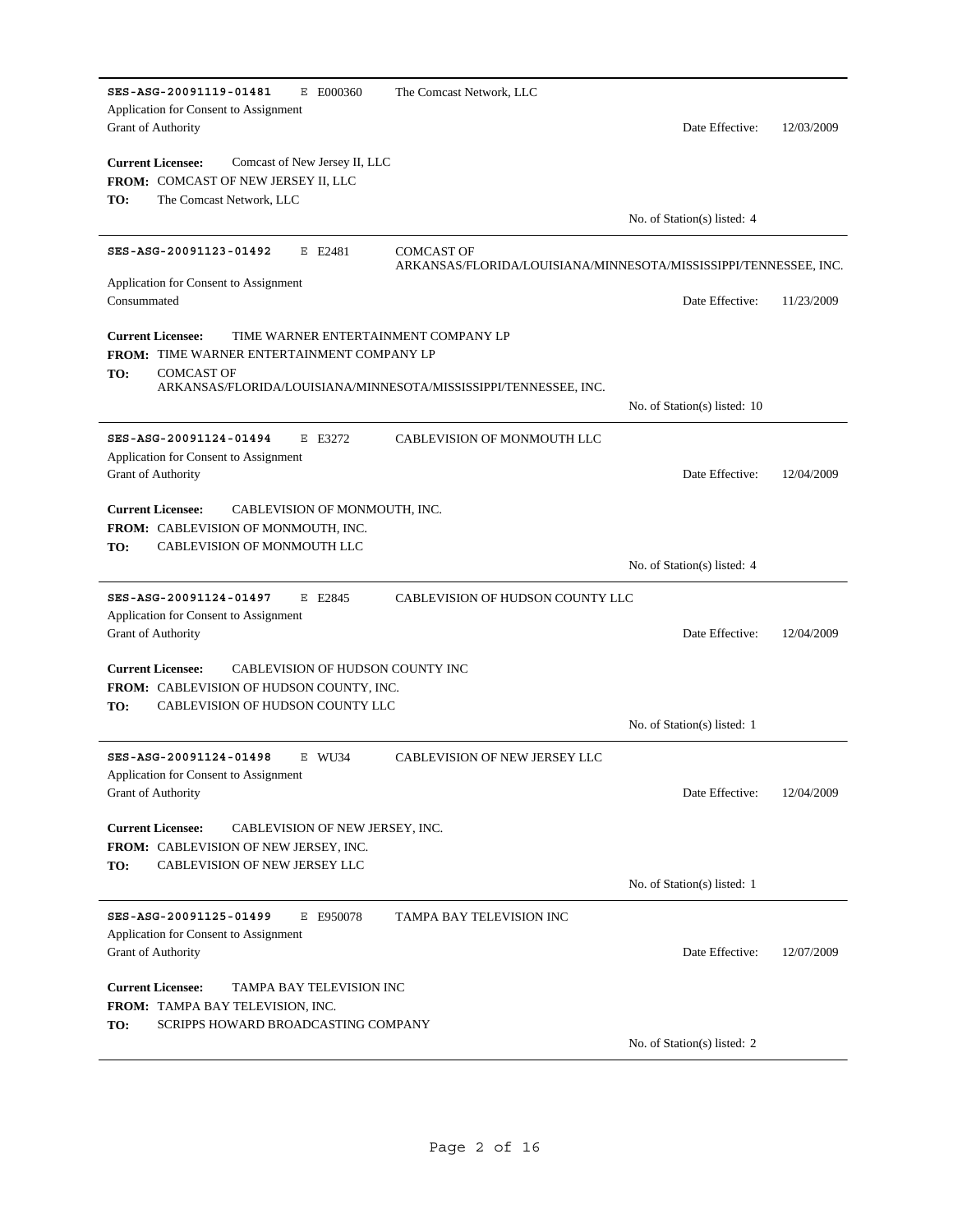| SES-ASG-20091119-01481<br>E E000360<br>Application for Consent to Assignment                                                                                                                                          | The Comcast Network, LLC                                         |                              |            |
|-----------------------------------------------------------------------------------------------------------------------------------------------------------------------------------------------------------------------|------------------------------------------------------------------|------------------------------|------------|
| Grant of Authority                                                                                                                                                                                                    |                                                                  | Date Effective:              | 12/03/2009 |
| <b>Current Licensee:</b><br>Comcast of New Jersey II, LLC                                                                                                                                                             |                                                                  |                              |            |
| <b>FROM: COMCAST OF NEW JERSEY II, LLC</b>                                                                                                                                                                            |                                                                  |                              |            |
| TO:<br>The Comcast Network, LLC                                                                                                                                                                                       |                                                                  | No. of Station(s) listed: 4  |            |
| SES-ASG-20091123-01492<br>E E2481                                                                                                                                                                                     | <b>COMCAST OF</b>                                                |                              |            |
| Application for Consent to Assignment                                                                                                                                                                                 | ARKANSAS/FLORIDA/LOUISIANA/MINNESOTA/MISSISSIPPI/TENNESSEE, INC. |                              |            |
| Consummated                                                                                                                                                                                                           |                                                                  | Date Effective:              | 11/23/2009 |
| TIME WARNER ENTERTAINMENT COMPANY LP<br><b>Current Licensee:</b><br><b>FROM: TIME WARNER ENTERTAINMENT COMPANY LP</b><br><b>COMCAST OF</b><br>TO:<br>ARKANSAS/FLORIDA/LOUISIANA/MINNESOTA/MISSISSIPPI/TENNESSEE, INC. |                                                                  |                              |            |
|                                                                                                                                                                                                                       |                                                                  | No. of Station(s) listed: 10 |            |
| SES-ASG-20091124-01494<br>E E3272                                                                                                                                                                                     | CABLEVISION OF MONMOUTH LLC                                      |                              |            |
| Application for Consent to Assignment<br><b>Grant of Authority</b>                                                                                                                                                    |                                                                  | Date Effective:              | 12/04/2009 |
| <b>Current Licensee:</b><br>CABLEVISION OF MONMOUTH, INC.<br>FROM: CABLEVISION OF MONMOUTH, INC.<br>TO:<br>CABLEVISION OF MONMOUTH LLC                                                                                |                                                                  |                              |            |
|                                                                                                                                                                                                                       |                                                                  | No. of Station(s) listed: 4  |            |
| SES-ASG-20091124-01497<br>E E2845                                                                                                                                                                                     | CABLEVISION OF HUDSON COUNTY LLC                                 |                              |            |
| Application for Consent to Assignment<br>Grant of Authority                                                                                                                                                           |                                                                  | Date Effective:              | 12/04/2009 |
| <b>Current Licensee:</b><br>CABLEVISION OF HUDSON COUNTY INC                                                                                                                                                          |                                                                  |                              |            |
| <b>FROM: CABLEVISION OF HUDSON COUNTY, INC.</b>                                                                                                                                                                       |                                                                  |                              |            |
| TO:<br>CABLEVISION OF HUDSON COUNTY LLC                                                                                                                                                                               |                                                                  | No. of Station(s) listed: 1  |            |
| SES-ASG-20091124-01498<br>E WU34                                                                                                                                                                                      | <b>CABLEVISION OF NEW JERSEY LLC</b>                             |                              |            |
| Application for Consent to Assignment                                                                                                                                                                                 |                                                                  | Date Effective:              |            |
| Grant of Authority                                                                                                                                                                                                    |                                                                  |                              | 12/04/2009 |
| <b>Current Licensee:</b><br>CABLEVISION OF NEW JERSEY, INC.<br><b>FROM: CABLEVISION OF NEW JERSEY, INC.</b>                                                                                                           |                                                                  |                              |            |
| TO:<br>CABLEVISION OF NEW JERSEY LLC                                                                                                                                                                                  |                                                                  | No. of Station(s) listed: 1  |            |
| SES-ASG-20091125-01499<br>E E950078                                                                                                                                                                                   | TAMPA BAY TELEVISION INC                                         |                              |            |
| Application for Consent to Assignment                                                                                                                                                                                 |                                                                  |                              |            |
| Grant of Authority                                                                                                                                                                                                    |                                                                  | Date Effective:              | 12/07/2009 |
| <b>Current Licensee:</b><br>TAMPA BAY TELEVISION INC                                                                                                                                                                  |                                                                  |                              |            |
| FROM: TAMPA BAY TELEVISION, INC.<br>TO:<br>SCRIPPS HOWARD BROADCASTING COMPANY                                                                                                                                        |                                                                  |                              |            |
|                                                                                                                                                                                                                       |                                                                  | No. of Station(s) listed: 2  |            |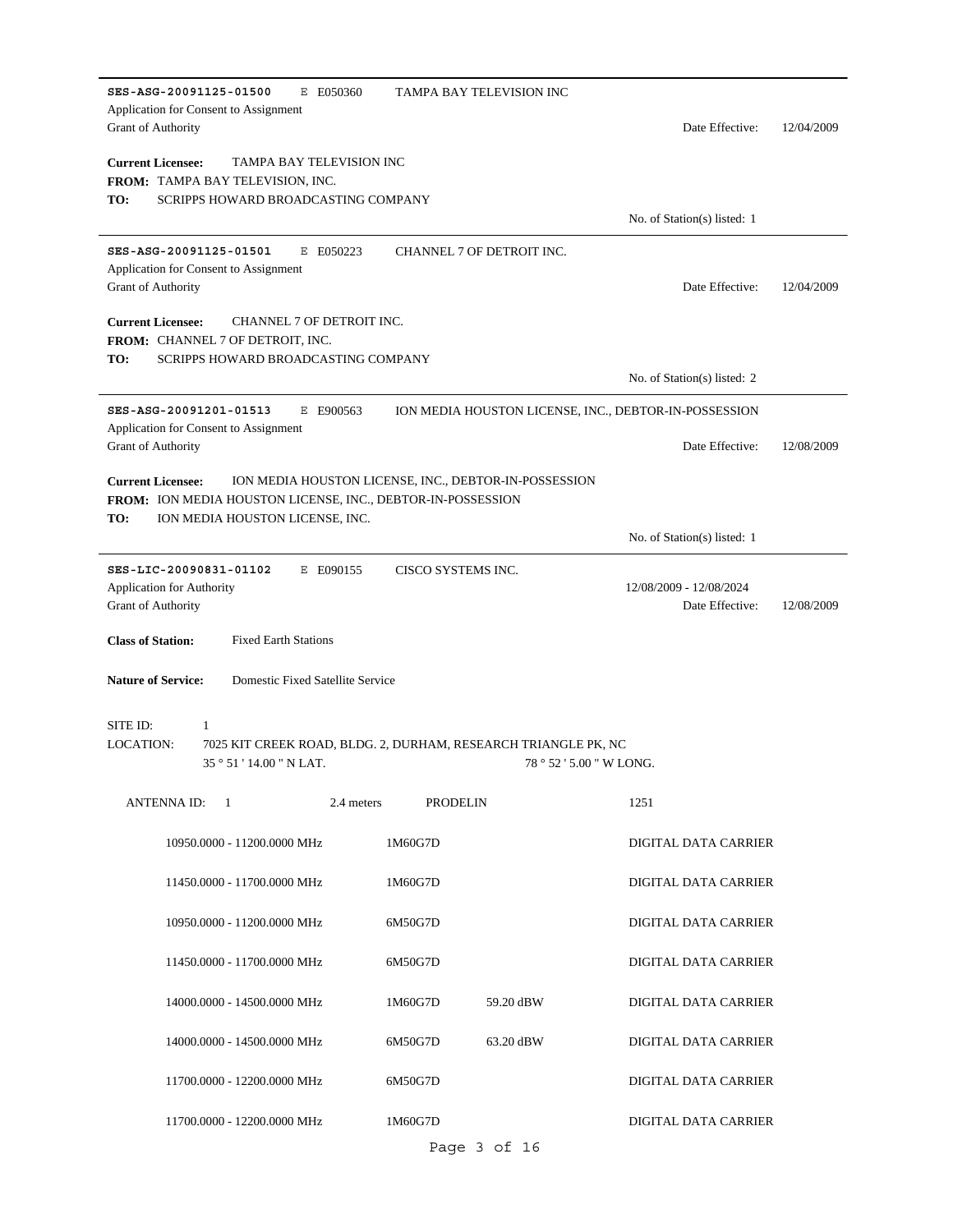| SES-ASG-20091125-01500<br>E E050360<br>Application for Consent to Assignment<br>Grant of Authority | TAMPA BAY TELEVISION INC                                       | Date Effective:                                       | 12/04/2009 |
|----------------------------------------------------------------------------------------------------|----------------------------------------------------------------|-------------------------------------------------------|------------|
| <b>Current Licensee:</b><br>TAMPA BAY TELEVISION INC                                               |                                                                |                                                       |            |
| FROM: TAMPA BAY TELEVISION, INC.                                                                   |                                                                |                                                       |            |
| SCRIPPS HOWARD BROADCASTING COMPANY<br>TO:                                                         |                                                                | No. of Station(s) listed: 1                           |            |
| SES-ASG-20091125-01501<br>E E050223                                                                | CHANNEL 7 OF DETROIT INC.                                      |                                                       |            |
| Application for Consent to Assignment                                                              |                                                                |                                                       |            |
| <b>Grant of Authority</b>                                                                          |                                                                | Date Effective:                                       | 12/04/2009 |
| <b>Current Licensee:</b><br>CHANNEL 7 OF DETROIT INC.                                              |                                                                |                                                       |            |
| FROM: CHANNEL 7 OF DETROIT, INC.                                                                   |                                                                |                                                       |            |
| SCRIPPS HOWARD BROADCASTING COMPANY<br>TO:                                                         |                                                                |                                                       |            |
|                                                                                                    |                                                                | No. of Station(s) listed: 2                           |            |
| SES-ASG-20091201-01513<br>E E900563<br>Application for Consent to Assignment                       |                                                                | ION MEDIA HOUSTON LICENSE, INC., DEBTOR-IN-POSSESSION |            |
| Grant of Authority                                                                                 |                                                                | Date Effective:                                       | 12/08/2009 |
| <b>Current Licensee:</b>                                                                           | ION MEDIA HOUSTON LICENSE, INC., DEBTOR-IN-POSSESSION          |                                                       |            |
| FROM: ION MEDIA HOUSTON LICENSE, INC., DEBTOR-IN-POSSESSION                                        |                                                                |                                                       |            |
| TO:<br>ION MEDIA HOUSTON LICENSE, INC.                                                             |                                                                |                                                       |            |
|                                                                                                    |                                                                | No. of Station(s) listed: 1                           |            |
| SES-LIC-20090831-01102<br>E E090155                                                                | CISCO SYSTEMS INC.                                             |                                                       |            |
| Application for Authority<br>Grant of Authority                                                    |                                                                | 12/08/2009 - 12/08/2024<br>Date Effective:            | 12/08/2009 |
|                                                                                                    |                                                                |                                                       |            |
| <b>Class of Station:</b><br><b>Fixed Earth Stations</b>                                            |                                                                |                                                       |            |
| <b>Nature of Service:</b><br>Domestic Fixed Satellite Service                                      |                                                                |                                                       |            |
| SITE ID:<br>1                                                                                      |                                                                |                                                       |            |
| LOCATION:                                                                                          | 7025 KIT CREEK ROAD, BLDG. 2, DURHAM, RESEARCH TRIANGLE PK, NC |                                                       |            |
| 35 ° 51 ' 14.00 " N LAT.                                                                           |                                                                | 78 ° 52 ' 5.00 " W LONG.                              |            |
| ANTENNA ID:<br>- 1<br>2.4 meters                                                                   | <b>PRODELIN</b>                                                | 1251                                                  |            |
| 10950.0000 - 11200.0000 MHz                                                                        | 1M60G7D                                                        | DIGITAL DATA CARRIER                                  |            |
| 11450.0000 - 11700.0000 MHz                                                                        | 1M60G7D                                                        | DIGITAL DATA CARRIER                                  |            |
| 10950.0000 - 11200.0000 MHz                                                                        | 6M50G7D                                                        | DIGITAL DATA CARRIER                                  |            |
| 11450.0000 - 11700.0000 MHz                                                                        | 6M50G7D                                                        | DIGITAL DATA CARRIER                                  |            |
| 14000.0000 - 14500.0000 MHz                                                                        | 59.20 dBW<br>1M60G7D                                           | DIGITAL DATA CARRIER                                  |            |
| 14000.0000 - 14500.0000 MHz                                                                        | 6M50G7D<br>63.20 dBW                                           | DIGITAL DATA CARRIER                                  |            |
| 11700.0000 - 12200.0000 MHz                                                                        | 6M50G7D                                                        | DIGITAL DATA CARRIER                                  |            |
| 11700.0000 - 12200.0000 MHz                                                                        | 1M60G7D                                                        | DIGITAL DATA CARRIER                                  |            |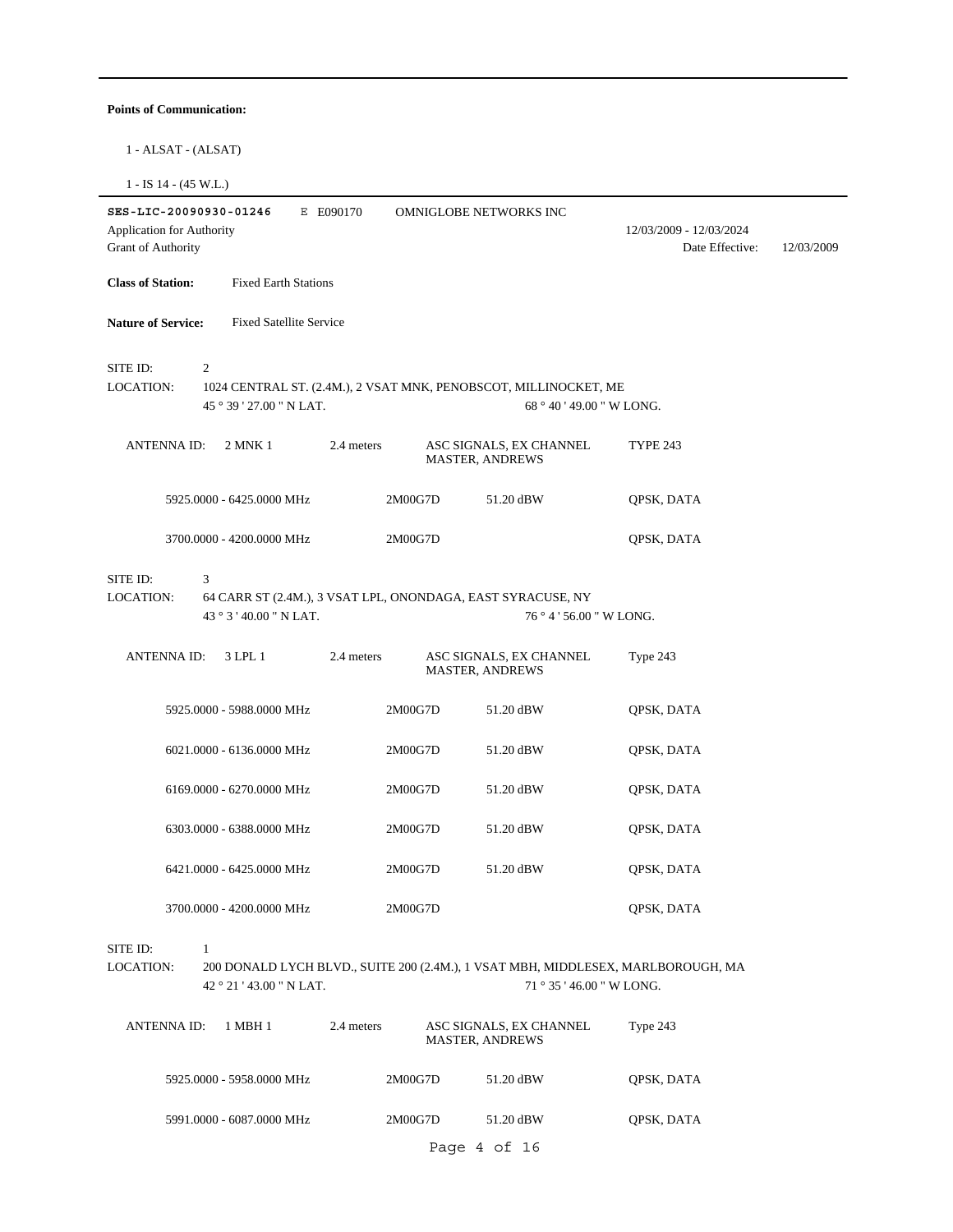#### **Points of Communication:**

1 - ALSAT - (ALSAT)

1 - IS 14 - (45 W.L.)

| SES-LIC-20090930-01246                                 |                                | E E090170  |         | OMNIGLOBE NETWORKS INC                                                                        |                                                                                  |            |
|--------------------------------------------------------|--------------------------------|------------|---------|-----------------------------------------------------------------------------------------------|----------------------------------------------------------------------------------|------------|
| Application for Authority<br><b>Grant of Authority</b> |                                |            |         |                                                                                               | 12/03/2009 - 12/03/2024<br>Date Effective:                                       | 12/03/2009 |
| <b>Class of Station:</b>                               | <b>Fixed Earth Stations</b>    |            |         |                                                                                               |                                                                                  |            |
| <b>Nature of Service:</b>                              | <b>Fixed Satellite Service</b> |            |         |                                                                                               |                                                                                  |            |
| SITE ID:<br><b>LOCATION:</b>                           | 2<br>45 ° 39 ' 27.00 " N LAT.  |            |         | 1024 CENTRAL ST. (2.4M.), 2 VSAT MNK, PENOBSCOT, MILLINOCKET, ME<br>68 ° 40 ' 49.00 " W LONG. |                                                                                  |            |
| <b>ANTENNA ID:</b>                                     | 2 MNK 1                        | 2.4 meters |         | ASC SIGNALS, EX CHANNEL<br>MASTER, ANDREWS                                                    | <b>TYPE 243</b>                                                                  |            |
|                                                        | 5925.0000 - 6425.0000 MHz      |            | 2M00G7D | 51.20 dBW                                                                                     | QPSK, DATA                                                                       |            |
|                                                        | 3700.0000 - 4200.0000 MHz      |            | 2M00G7D |                                                                                               | QPSK, DATA                                                                       |            |
| SITE ID:<br><b>LOCATION:</b>                           | 3<br>43 ° 3 ' 40.00 " N LAT.   |            |         | 64 CARR ST (2.4M.), 3 VSAT LPL, ONONDAGA, EAST SYRACUSE, NY<br>76 ° 4 ' 56.00 " W LONG.       |                                                                                  |            |
| <b>ANTENNA ID:</b>                                     | 3 LPL 1                        | 2.4 meters |         | ASC SIGNALS, EX CHANNEL<br><b>MASTER, ANDREWS</b>                                             | Type 243                                                                         |            |
|                                                        | 5925.0000 - 5988.0000 MHz      |            | 2M00G7D | 51.20 dBW                                                                                     | QPSK, DATA                                                                       |            |
|                                                        | 6021.0000 - 6136.0000 MHz      |            | 2M00G7D | 51.20 dBW                                                                                     | QPSK, DATA                                                                       |            |
|                                                        | 6169.0000 - 6270.0000 MHz      |            | 2M00G7D | 51.20 dBW                                                                                     | QPSK, DATA                                                                       |            |
|                                                        | 6303.0000 - 6388.0000 MHz      |            | 2M00G7D | 51.20 dBW                                                                                     | QPSK, DATA                                                                       |            |
|                                                        | 6421.0000 - 6425.0000 MHz      |            | 2M00G7D | 51.20 dBW                                                                                     | QPSK, DATA                                                                       |            |
|                                                        | 3700.0000 - 4200.0000 MHz      |            | 2M00G7D |                                                                                               | QPSK, DATA                                                                       |            |
| SITE ID:<br>LOCATION:                                  | 1<br>42°21'43.00" N LAT.       |            |         | 71 ° 35 ' 46.00 " W LONG.                                                                     | 200 DONALD LYCH BLVD., SUITE 200 (2.4M.), 1 VSAT MBH, MIDDLESEX, MARLBOROUGH, MA |            |
| <b>ANTENNA ID:</b>                                     | 1 MBH 1                        | 2.4 meters |         | ASC SIGNALS, EX CHANNEL<br><b>MASTER, ANDREWS</b>                                             | Type 243                                                                         |            |
|                                                        | 5925.0000 - 5958.0000 MHz      |            | 2M00G7D | 51.20 dBW                                                                                     | QPSK, DATA                                                                       |            |
|                                                        | 5991.0000 - 6087.0000 MHz      |            | 2M00G7D | 51.20 dBW                                                                                     | QPSK, DATA                                                                       |            |
|                                                        |                                |            |         | Page 4 of 16                                                                                  |                                                                                  |            |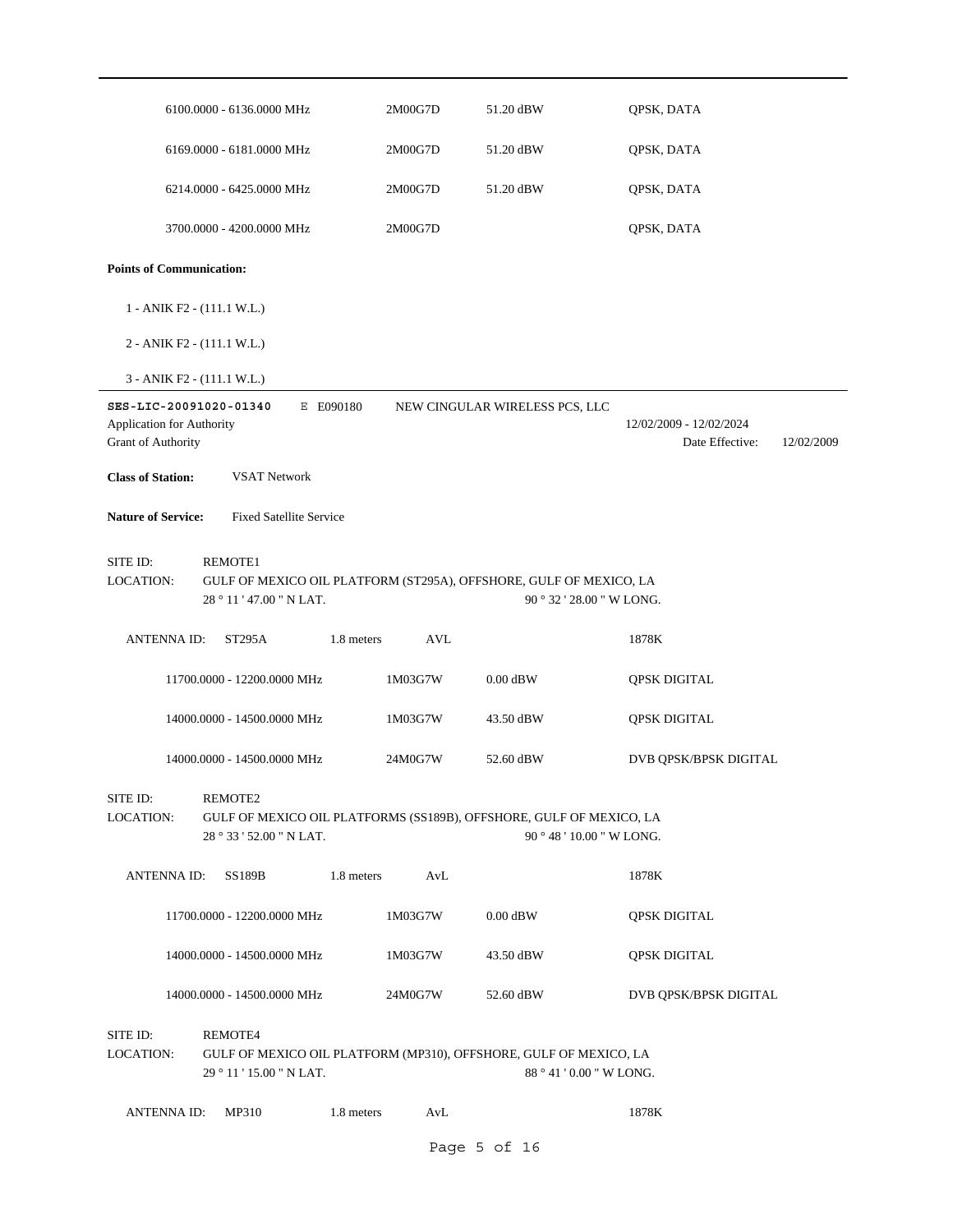|                                                                           | 6100.0000 - 6136.0000 MHz                                                                                        | 2M00G7D                  | 51.20 dBW                      | QPSK, DATA                                               |
|---------------------------------------------------------------------------|------------------------------------------------------------------------------------------------------------------|--------------------------|--------------------------------|----------------------------------------------------------|
|                                                                           | 6169.0000 - 6181.0000 MHz                                                                                        | 2M00G7D                  | 51.20 dBW                      | QPSK, DATA                                               |
|                                                                           | 6214.0000 - 6425.0000 MHz                                                                                        | 2M00G7D                  | 51.20 dBW                      | QPSK, DATA                                               |
|                                                                           | 3700.0000 - 4200.0000 MHz                                                                                        | 2M00G7D                  |                                | QPSK, DATA                                               |
| <b>Points of Communication:</b>                                           |                                                                                                                  |                          |                                |                                                          |
|                                                                           | 1 - ANIK F2 - (111.1 W.L.)                                                                                       |                          |                                |                                                          |
|                                                                           | 2 - ANIK F2 - (111.1 W.L.)                                                                                       |                          |                                |                                                          |
|                                                                           | 3 - ANIK F2 - (111.1 W.L.)                                                                                       |                          |                                |                                                          |
| SES-LIC-20091020-01340<br>Application for Authority<br>Grant of Authority | E E090180                                                                                                        |                          | NEW CINGULAR WIRELESS PCS, LLC | 12/02/2009 - 12/02/2024<br>Date Effective:<br>12/02/2009 |
| <b>Class of Station:</b>                                                  | <b>VSAT Network</b>                                                                                              |                          |                                |                                                          |
| <b>Nature of Service:</b>                                                 | <b>Fixed Satellite Service</b>                                                                                   |                          |                                |                                                          |
| SITE ID:<br>LOCATION:                                                     | <b>REMOTE1</b><br>GULF OF MEXICO OIL PLATFORM (ST295A), OFFSHORE, GULF OF MEXICO, LA<br>28 ° 11 ' 47.00 " N LAT. |                          |                                | 90 ° 32 ' 28.00 " W LONG.                                |
| <b>ANTENNA ID:</b>                                                        | ST295A                                                                                                           | 1.8 meters<br><b>AVL</b> |                                | 1878K                                                    |
|                                                                           | 11700.0000 - 12200.0000 MHz                                                                                      | 1M03G7W                  | $0.00$ dBW                     | <b>QPSK DIGITAL</b>                                      |
|                                                                           | 14000.0000 - 14500.0000 MHz                                                                                      | 1M03G7W                  | 43.50 dBW                      | <b>QPSK DIGITAL</b>                                      |
|                                                                           | 14000.0000 - 14500.0000 MHz                                                                                      | 24M0G7W                  | 52.60 dBW                      | DVB QPSK/BPSK DIGITAL                                    |
| SITE ID:<br>LOCATION:                                                     | REMOTE2<br>GULF OF MEXICO OIL PLATFORMS (SS189B), OFFSHORE, GULF OF MEXICO, LA<br>28°33'52.00" N LAT.            |                          |                                | 90 ° 48 ' 10.00 " W LONG.                                |
| ANTENNA ID:                                                               | <b>SS189B</b>                                                                                                    | AvL<br>1.8 meters        |                                | 1878K                                                    |
|                                                                           | 11700.0000 - 12200.0000 MHz                                                                                      | 1M03G7W                  | $0.00$ dBW                     | <b>QPSK DIGITAL</b>                                      |
|                                                                           | 14000.0000 - 14500.0000 MHz                                                                                      | 1M03G7W                  | 43.50 dBW                      | <b>QPSK DIGITAL</b>                                      |
|                                                                           | 14000.0000 - 14500.0000 MHz                                                                                      | 24M0G7W                  | 52.60 dBW                      | DVB QPSK/BPSK DIGITAL                                    |
| SITE ID:<br>LOCATION:                                                     | REMOTE4<br>GULF OF MEXICO OIL PLATFORM (MP310), OFFSHORE, GULF OF MEXICO, LA<br>29 ° 11 ' 15.00 " N LAT.         |                          |                                | 88 ° 41 '0.00 " W LONG.                                  |
| <b>ANTENNA ID:</b>                                                        | MP310                                                                                                            | 1.8 meters<br>AvL        |                                | 1878K                                                    |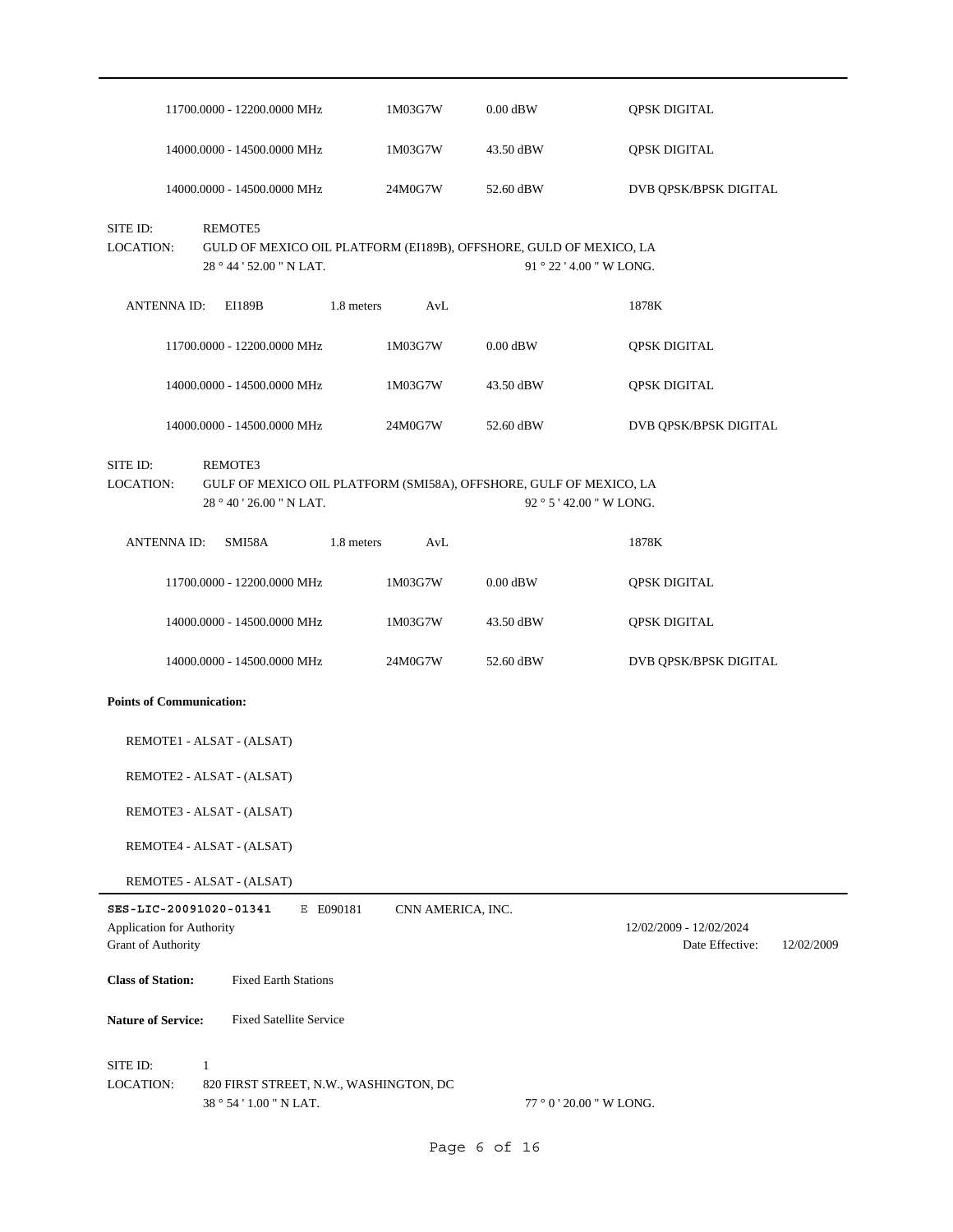|                                                                           | 11700.0000 - 12200.0000 MHz                                                                               | 1M03G7W           | $0.00$ dBW               | <b>QPSK DIGITAL</b>                                      |
|---------------------------------------------------------------------------|-----------------------------------------------------------------------------------------------------------|-------------------|--------------------------|----------------------------------------------------------|
|                                                                           | 14000.0000 - 14500.0000 MHz                                                                               | 1M03G7W           | 43.50 dBW                | <b>QPSK DIGITAL</b>                                      |
|                                                                           | 14000.0000 - 14500.0000 MHz                                                                               | 24M0G7W           | 52.60 dBW                | DVB QPSK/BPSK DIGITAL                                    |
| SITE ID:<br><b>LOCATION:</b>                                              | REMOTE5<br>GULD OF MEXICO OIL PLATFORM (EI189B), OFFSHORE, GULD OF MEXICO, LA<br>28 ° 44 ' 52.00 " N LAT. |                   | 91 ° 22 ' 4.00 " W LONG. |                                                          |
| <b>ANTENNA ID:</b>                                                        | EI189B                                                                                                    | 1.8 meters<br>AvL |                          | 1878K                                                    |
|                                                                           | 11700.0000 - 12200.0000 MHz                                                                               | 1M03G7W           | $0.00$ dBW               | <b>QPSK DIGITAL</b>                                      |
|                                                                           | 14000.0000 - 14500.0000 MHz                                                                               | 1M03G7W           | 43.50 dBW                | <b>QPSK DIGITAL</b>                                      |
|                                                                           | 14000.0000 - 14500.0000 MHz                                                                               | 24M0G7W           | 52.60 dBW                | DVB QPSK/BPSK DIGITAL                                    |
| SITE ID:<br>LOCATION:                                                     | REMOTE3<br>GULF OF MEXICO OIL PLATFORM (SMI58A), OFFSHORE, GULF OF MEXICO, LA<br>28°40'26.00"N LAT.       |                   | $92°5'$ 42.00 " W LONG.  |                                                          |
| <b>ANTENNA ID:</b>                                                        | SMI58A                                                                                                    | 1.8 meters<br>AvL |                          | 1878K                                                    |
|                                                                           | 11700.0000 - 12200.0000 MHz                                                                               | 1M03G7W           | $0.00$ dBW               | <b>QPSK DIGITAL</b>                                      |
|                                                                           | 14000.0000 - 14500.0000 MHz                                                                               | 1M03G7W           | 43.50 dBW                | QPSK DIGITAL                                             |
|                                                                           | 14000.0000 - 14500.0000 MHz                                                                               | 24M0G7W           | 52.60 dBW                | DVB QPSK/BPSK DIGITAL                                    |
| <b>Points of Communication:</b>                                           |                                                                                                           |                   |                          |                                                          |
|                                                                           | REMOTE1 - ALSAT - (ALSAT)                                                                                 |                   |                          |                                                          |
|                                                                           | REMOTE2 - ALSAT - (ALSAT)                                                                                 |                   |                          |                                                          |
|                                                                           | REMOTE3 - ALSAT - (ALSAT)                                                                                 |                   |                          |                                                          |
|                                                                           | REMOTE4 - ALSAT - (ALSAT)                                                                                 |                   |                          |                                                          |
|                                                                           | REMOTE5 - ALSAT - (ALSAT)                                                                                 |                   |                          |                                                          |
| SES-LIC-20091020-01341<br>Application for Authority<br>Grant of Authority | E E090181                                                                                                 | CNN AMERICA, INC. |                          | 12/02/2009 - 12/02/2024<br>Date Effective:<br>12/02/2009 |
| <b>Class of Station:</b>                                                  | <b>Fixed Earth Stations</b>                                                                               |                   |                          |                                                          |
| <b>Nature of Service:</b>                                                 | <b>Fixed Satellite Service</b>                                                                            |                   |                          |                                                          |
| SITE ID:<br>LOCATION:                                                     | $\mathbf{1}$<br>820 FIRST STREET, N.W., WASHINGTON, DC<br>38 ° 54 ' 1.00 " N LAT.                         |                   | $77°0'20.00''$ W LONG.   |                                                          |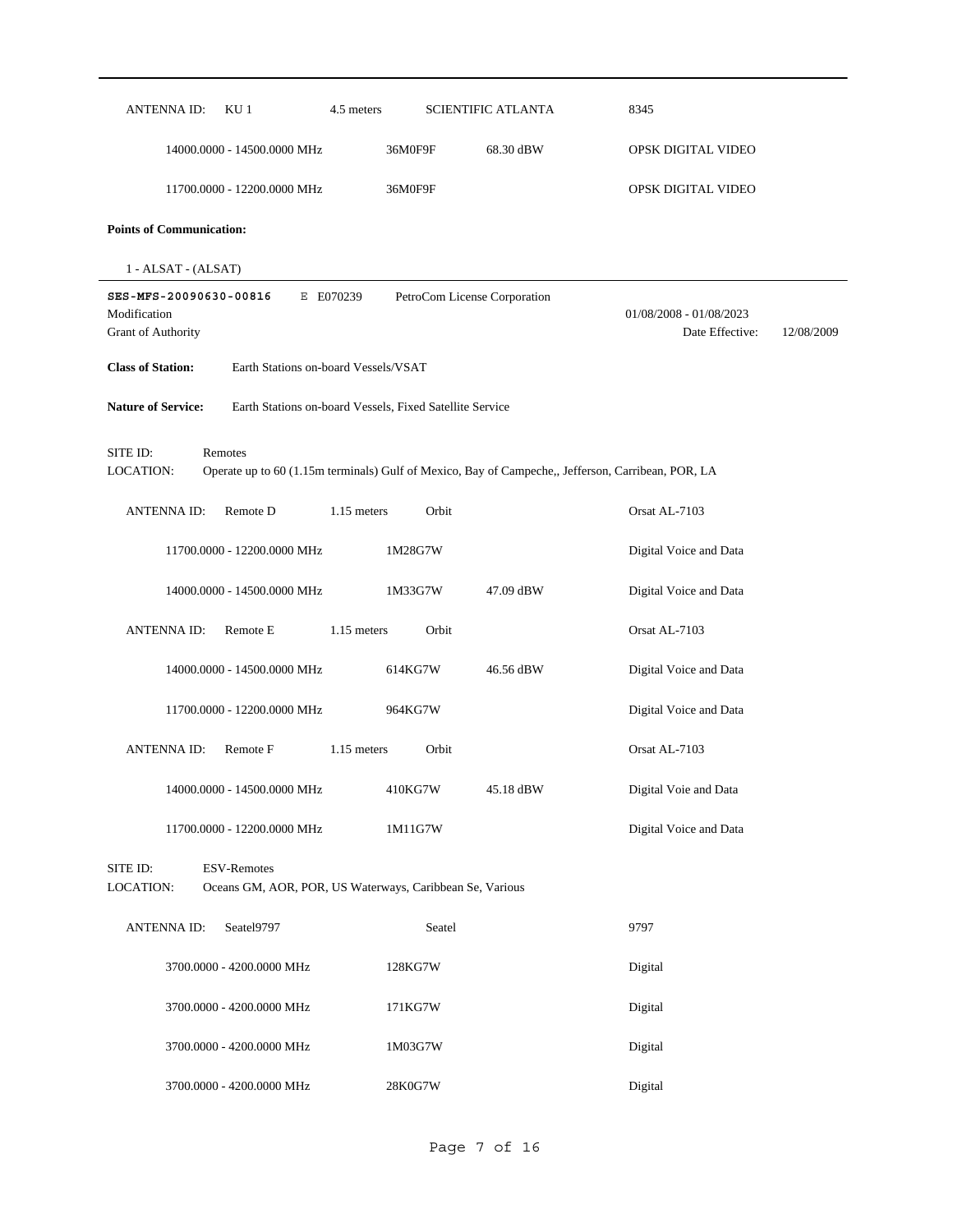| <b>ANTENNAID:</b>                                                   | KU <sub>1</sub><br>4.5 meters                                                                      |                              | <b>SCIENTIFIC ATLANTA</b> | 8345                                       |            |
|---------------------------------------------------------------------|----------------------------------------------------------------------------------------------------|------------------------------|---------------------------|--------------------------------------------|------------|
|                                                                     | 14000.0000 - 14500.0000 MHz                                                                        | 36M0F9F                      | 68.30 dBW                 | OPSK DIGITAL VIDEO                         |            |
|                                                                     | 11700.0000 - 12200.0000 MHz                                                                        | 36M0F9F                      |                           | OPSK DIGITAL VIDEO                         |            |
| <b>Points of Communication:</b>                                     |                                                                                                    |                              |                           |                                            |            |
| 1 - ALSAT - (ALSAT)                                                 |                                                                                                    |                              |                           |                                            |            |
| SES-MFS-20090630-00816<br>Modification<br><b>Grant of Authority</b> | E E070239                                                                                          | PetroCom License Corporation |                           | 01/08/2008 - 01/08/2023<br>Date Effective: | 12/08/2009 |
| <b>Class of Station:</b>                                            | Earth Stations on-board Vessels/VSAT                                                               |                              |                           |                                            |            |
| <b>Nature of Service:</b>                                           | Earth Stations on-board Vessels, Fixed Satellite Service                                           |                              |                           |                                            |            |
| SITE ID:<br>Remotes<br>LOCATION:                                    | Operate up to 60 (1.15m terminals) Gulf of Mexico, Bay of Campeche,, Jefferson, Carribean, POR, LA |                              |                           |                                            |            |
| <b>ANTENNAID:</b>                                                   | Remote D<br>1.15 meters                                                                            | Orbit                        |                           | Orsat AL-7103                              |            |
|                                                                     | 11700.0000 - 12200.0000 MHz                                                                        | 1M28G7W                      |                           | Digital Voice and Data                     |            |
|                                                                     | 14000.0000 - 14500.0000 MHz                                                                        | 1M33G7W                      | 47.09 dBW                 | Digital Voice and Data                     |            |
| <b>ANTENNAID:</b>                                                   | Remote E<br>1.15 meters                                                                            | Orbit                        |                           | Orsat AL-7103                              |            |
|                                                                     | 14000.0000 - 14500.0000 MHz                                                                        | 614KG7W                      | 46.56 dBW                 | Digital Voice and Data                     |            |
|                                                                     | 11700.0000 - 12200.0000 MHz                                                                        | 964KG7W                      |                           | Digital Voice and Data                     |            |
| <b>ANTENNAID:</b>                                                   | Remote F<br>1.15 meters                                                                            | Orbit                        |                           | Orsat AL-7103                              |            |
|                                                                     | 14000.0000 - 14500.0000 MHz                                                                        | 410KG7W                      | 45.18 dBW                 | Digital Voie and Data                      |            |
|                                                                     | 11700.0000 - 12200.0000 MHz                                                                        | 1M11G7W                      |                           | Digital Voice and Data                     |            |
| SITE ID:<br>LOCATION:                                               | <b>ESV-Remotes</b><br>Oceans GM, AOR, POR, US Waterways, Caribbean Se, Various                     |                              |                           |                                            |            |
| <b>ANTENNA ID:</b>                                                  | Seatel9797                                                                                         | Seatel                       |                           | 9797                                       |            |
|                                                                     | 3700.0000 - 4200.0000 MHz                                                                          | 128KG7W                      |                           | Digital                                    |            |
|                                                                     | 3700.0000 - 4200.0000 MHz                                                                          | 171KG7W                      |                           | Digital                                    |            |
|                                                                     | 3700.0000 - 4200.0000 MHz                                                                          | 1M03G7W                      |                           | Digital                                    |            |
|                                                                     | 3700.0000 - 4200.0000 MHz                                                                          | 28K0G7W                      |                           | Digital                                    |            |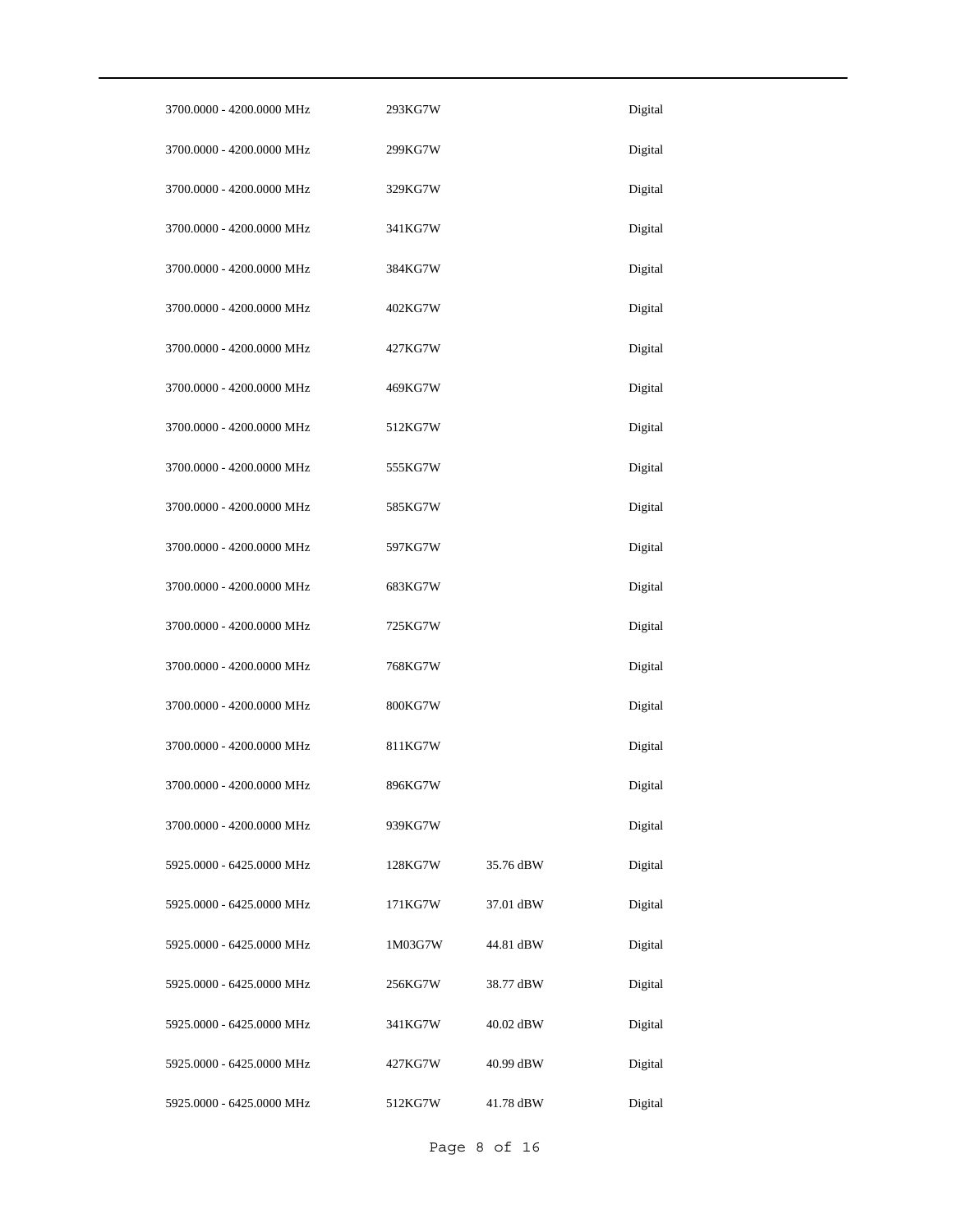| 3700.0000 - 4200.0000 MHz | 293KG7W |           | Digital |
|---------------------------|---------|-----------|---------|
| 3700.0000 - 4200.0000 MHz | 299KG7W |           | Digital |
| 3700.0000 - 4200.0000 MHz | 329KG7W |           | Digital |
| 3700.0000 - 4200.0000 MHz | 341KG7W |           | Digital |
| 3700.0000 - 4200.0000 MHz | 384KG7W |           | Digital |
| 3700.0000 - 4200.0000 MHz | 402KG7W |           | Digital |
| 3700.0000 - 4200.0000 MHz | 427KG7W |           | Digital |
| 3700.0000 - 4200.0000 MHz | 469KG7W |           | Digital |
| 3700.0000 - 4200.0000 MHz | 512KG7W |           | Digital |
| 3700.0000 - 4200.0000 MHz | 555KG7W |           | Digital |
| 3700.0000 - 4200.0000 MHz | 585KG7W |           | Digital |
| 3700.0000 - 4200.0000 MHz | 597KG7W |           | Digital |
| 3700.0000 - 4200.0000 MHz | 683KG7W |           | Digital |
| 3700.0000 - 4200.0000 MHz | 725KG7W |           | Digital |
| 3700.0000 - 4200.0000 MHz | 768KG7W |           | Digital |
| 3700.0000 - 4200.0000 MHz | 800KG7W |           | Digital |
| 3700.0000 - 4200.0000 MHz | 811KG7W |           | Digital |
| 3700.0000 - 4200.0000 MHz | 896KG7W |           | Digital |
| 3700.0000 - 4200.0000 MHz | 939KG7W |           | Digital |
| 5925.0000 - 6425.0000 MHz | 128KG7W | 35.76 dBW | Digital |
| 5925.0000 - 6425.0000 MHz | 171KG7W | 37.01 dBW | Digital |
| 5925.0000 - 6425.0000 MHz | 1M03G7W | 44.81 dBW | Digital |
| 5925.0000 - 6425.0000 MHz | 256KG7W | 38.77 dBW | Digital |
| 5925.0000 - 6425.0000 MHz | 341KG7W | 40.02 dBW | Digital |
| 5925.0000 - 6425.0000 MHz | 427KG7W | 40.99 dBW | Digital |
| 5925.0000 - 6425.0000 MHz | 512KG7W | 41.78 dBW | Digital |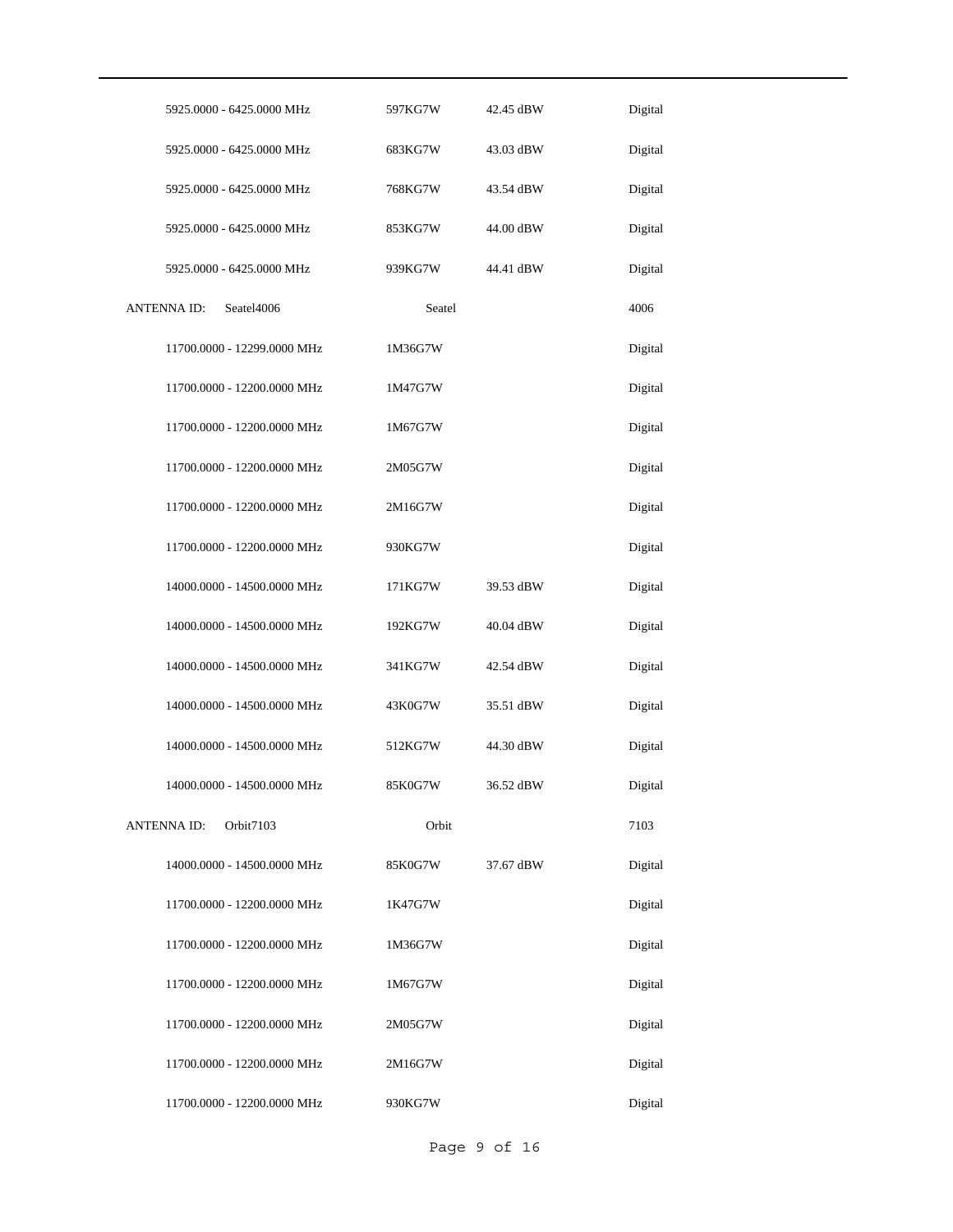| 5925.0000 - 6425.0000 MHz        | 597KG7W | 42.45 dBW             | Digital |
|----------------------------------|---------|-----------------------|---------|
| 5925.0000 - 6425.0000 MHz        | 683KG7W | 43.03 dBW             | Digital |
| 5925.0000 - 6425.0000 MHz        | 768KG7W | 43.54 dBW             | Digital |
| 5925.0000 - 6425.0000 MHz        | 853KG7W | 44.00 dBW             | Digital |
| 5925.0000 - 6425.0000 MHz        | 939KG7W | 44.41 dBW             | Digital |
| <b>ANTENNA ID:</b><br>Seatel4006 | Seatel  |                       | 4006    |
| 11700.0000 - 12299.0000 MHz      | 1M36G7W |                       | Digital |
| 11700.0000 - 12200.0000 MHz      | 1M47G7W |                       | Digital |
| 11700.0000 - 12200.0000 MHz      | 1M67G7W |                       | Digital |
| 11700.0000 - 12200.0000 MHz      | 2M05G7W |                       | Digital |
| 11700.0000 - 12200.0000 MHz      | 2M16G7W |                       | Digital |
| 11700.0000 - 12200.0000 MHz      | 930KG7W |                       | Digital |
| 14000.0000 - 14500.0000 MHz      | 171KG7W | 39.53 dBW             | Digital |
| 14000.0000 - 14500.0000 MHz      | 192KG7W | $40.04\ \mathrm{dBW}$ | Digital |
| 14000.0000 - 14500.0000 MHz      | 341KG7W | 42.54 dBW             | Digital |
| 14000.0000 - 14500.0000 MHz      | 43K0G7W | 35.51 dBW             | Digital |
| 14000.0000 - 14500.0000 MHz      | 512KG7W | 44.30 dBW             | Digital |
| 14000.0000 - 14500.0000 MHz      | 85K0G7W | 36.52 dBW             | Digital |
| <b>ANTENNA ID:</b><br>Orbit7103  | Orbit   |                       | 7103    |
| 14000.0000 - 14500.0000 MHz      | 85K0G7W | 37.67 dBW             | Digital |
| 11700.0000 - 12200.0000 MHz      | 1K47G7W |                       | Digital |
| 11700.0000 - 12200.0000 MHz      | 1M36G7W |                       | Digital |
| 11700.0000 - 12200.0000 MHz      | 1M67G7W |                       | Digital |
| 11700.0000 - 12200.0000 MHz      | 2M05G7W |                       | Digital |
| 11700.0000 - 12200.0000 MHz      | 2M16G7W |                       | Digital |
| 11700.0000 - 12200.0000 MHz      | 930KG7W |                       | Digital |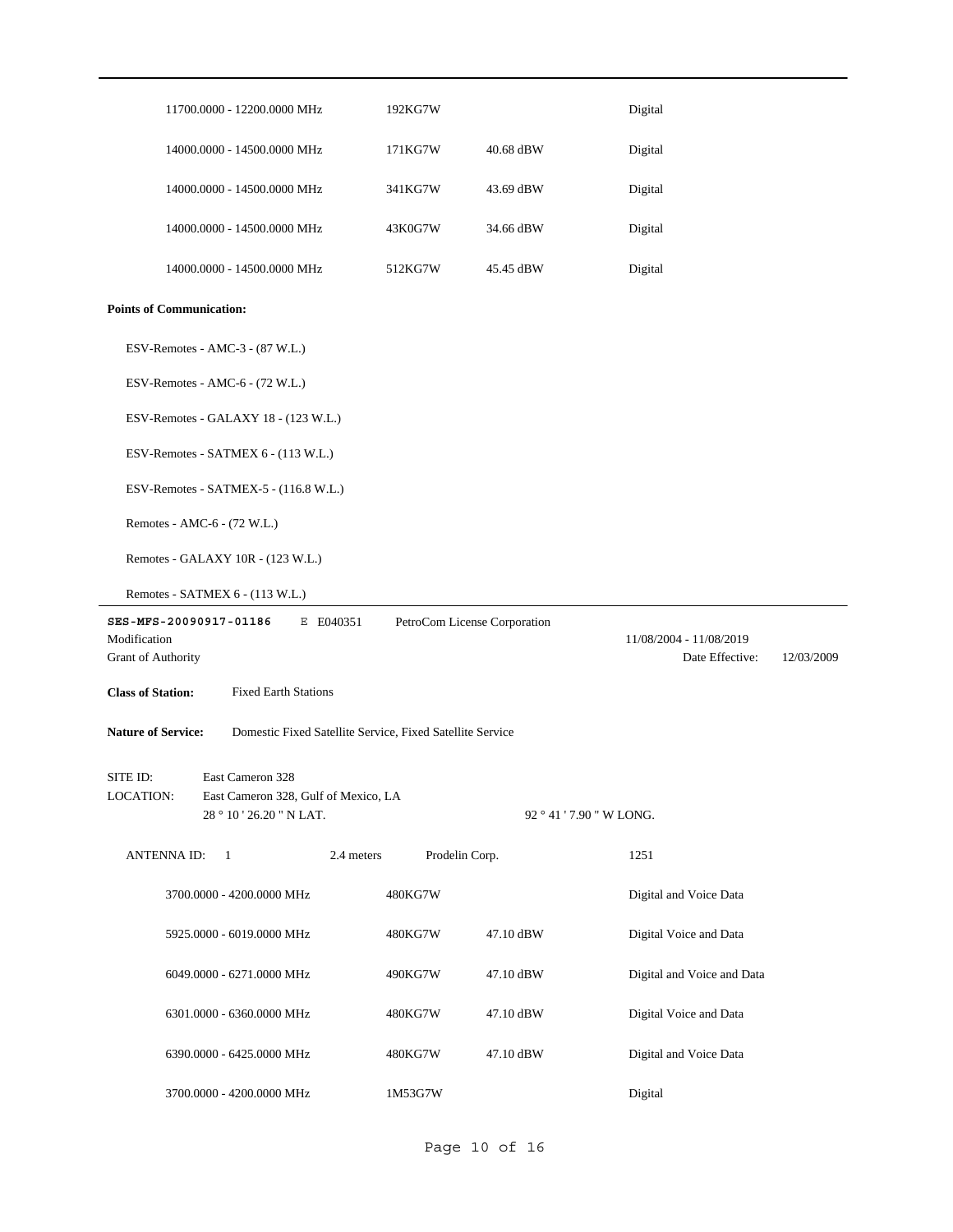| 11700.0000 - 12200.0000 MHz                                                            | 192KG7W        |                              | Digital                       |  |
|----------------------------------------------------------------------------------------|----------------|------------------------------|-------------------------------|--|
| 14000.0000 - 14500.0000 MHz                                                            | 171KG7W        | 40.68 dBW                    | Digital                       |  |
| 14000.0000 - 14500.0000 MHz                                                            | 341KG7W        | 43.69 dBW                    | Digital                       |  |
| 14000.0000 - 14500.0000 MHz                                                            | 43K0G7W        | 34.66 dBW                    | Digital                       |  |
| 14000.0000 - 14500.0000 MHz                                                            | 512KG7W        | 45.45 dBW                    | Digital                       |  |
| <b>Points of Communication:</b>                                                        |                |                              |                               |  |
| ESV-Remotes - AMC-3 - (87 W.L.)                                                        |                |                              |                               |  |
| ESV-Remotes - AMC-6 - (72 W.L.)                                                        |                |                              |                               |  |
| ESV-Remotes - GALAXY 18 - (123 W.L.)                                                   |                |                              |                               |  |
| ESV-Remotes - SATMEX 6 - (113 W.L.)                                                    |                |                              |                               |  |
| ESV-Remotes - SATMEX-5 - (116.8 W.L.)                                                  |                |                              |                               |  |
| Remotes - AMC-6 - (72 W.L.)                                                            |                |                              |                               |  |
| Remotes - GALAXY 10R - (123 W.L.)                                                      |                |                              |                               |  |
| Remotes - SATMEX 6 - (113 W.L.)                                                        |                |                              |                               |  |
| SES-MFS-20090917-01186<br>E E040351                                                    |                | PetroCom License Corporation |                               |  |
| Modification                                                                           |                |                              | 11/08/2004 - 11/08/2019       |  |
| Grant of Authority                                                                     |                |                              | Date Effective:<br>12/03/2009 |  |
| <b>Class of Station:</b><br><b>Fixed Earth Stations</b>                                |                |                              |                               |  |
| <b>Nature of Service:</b><br>Domestic Fixed Satellite Service, Fixed Satellite Service |                |                              |                               |  |
| East Cameron 328<br>SITE ID:                                                           |                |                              |                               |  |
| LOCATION:<br>East Cameron 328, Gulf of Mexico, LA<br>28 ° 10 ' 26.20 " N LAT.          |                |                              | 92 ° 41 ' 7.90 " W LONG.      |  |
|                                                                                        |                |                              |                               |  |
| <b>ANTENNA ID:</b><br>2.4 meters<br>$\mathbf{1}$                                       | Prodelin Corp. |                              | 1251                          |  |
| 3700.0000 - 4200.0000 MHz                                                              | 480KG7W        |                              | Digital and Voice Data        |  |
| 5925.0000 - 6019.0000 MHz                                                              | 480KG7W        | 47.10 dBW                    | Digital Voice and Data        |  |
| 6049.0000 - 6271.0000 MHz                                                              | 490KG7W        | 47.10 dBW                    | Digital and Voice and Data    |  |
| 6301.0000 - 6360.0000 MHz                                                              | 480KG7W        | 47.10 dBW                    | Digital Voice and Data        |  |
| 6390.0000 - 6425.0000 MHz                                                              | 480KG7W        | 47.10 dBW                    | Digital and Voice Data        |  |
| 3700.0000 - 4200.0000 MHz                                                              | 1M53G7W        |                              | Digital                       |  |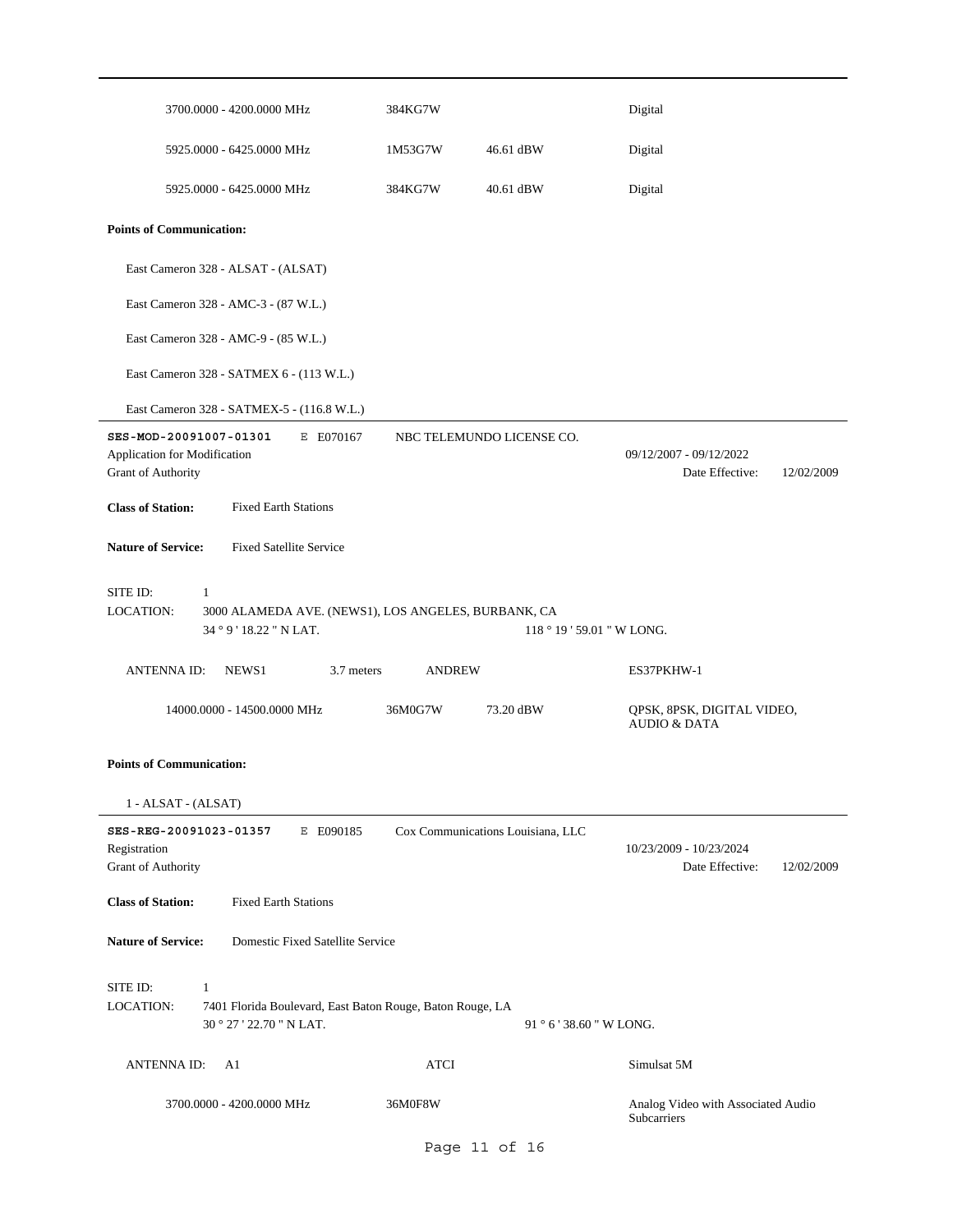| 3700.0000 - 4200.0000 MHz                                                                                                      | 384KG7W       |                                   | Digital                                                  |
|--------------------------------------------------------------------------------------------------------------------------------|---------------|-----------------------------------|----------------------------------------------------------|
| 5925.0000 - 6425.0000 MHz                                                                                                      | 1M53G7W       | 46.61 dBW                         | Digital                                                  |
| 5925.0000 - 6425.0000 MHz                                                                                                      | 384KG7W       | 40.61 dBW                         | Digital                                                  |
| <b>Points of Communication:</b>                                                                                                |               |                                   |                                                          |
| East Cameron 328 - ALSAT - (ALSAT)                                                                                             |               |                                   |                                                          |
| East Cameron 328 - AMC-3 - (87 W.L.)                                                                                           |               |                                   |                                                          |
| East Cameron 328 - AMC-9 - (85 W.L.)                                                                                           |               |                                   |                                                          |
| East Cameron 328 - SATMEX 6 - (113 W.L.)                                                                                       |               |                                   |                                                          |
| East Cameron 328 - SATMEX-5 - (116.8 W.L.)                                                                                     |               |                                   |                                                          |
| SES-MOD-20091007-01301<br>E E070167<br>Application for Modification<br>Grant of Authority                                      |               | NBC TELEMUNDO LICENSE CO.         | 09/12/2007 - 09/12/2022<br>Date Effective:<br>12/02/2009 |
| <b>Class of Station:</b><br><b>Fixed Earth Stations</b>                                                                        |               |                                   |                                                          |
| <b>Nature of Service:</b><br><b>Fixed Satellite Service</b>                                                                    |               |                                   |                                                          |
| SITE ID:<br>1<br>LOCATION:<br>3000 ALAMEDA AVE. (NEWS1), LOS ANGELES, BURBANK, CA<br>34 ° 9 ' 18.22 " N LAT.                   |               | 118 ° 19 ' 59.01 " W LONG.        |                                                          |
| 3.7 meters<br><b>ANTENNA ID:</b><br>NEWS1                                                                                      | <b>ANDREW</b> |                                   | ES37PKHW-1                                               |
| 14000.0000 - 14500.0000 MHz                                                                                                    | 36M0G7W       | 73.20 dBW                         | QPSK, 8PSK, DIGITAL VIDEO,<br><b>AUDIO &amp; DATA</b>    |
| <b>Points of Communication:</b>                                                                                                |               |                                   |                                                          |
| 1 - ALSAT - (ALSAT)                                                                                                            |               |                                   |                                                          |
| SES-REG-20091023-01357<br>E E090185<br>Registration<br>Grant of Authority                                                      |               | Cox Communications Louisiana, LLC | 10/23/2009 - 10/23/2024<br>Date Effective:<br>12/02/2009 |
| <b>Class of Station:</b><br><b>Fixed Earth Stations</b>                                                                        |               |                                   |                                                          |
| <b>Nature of Service:</b><br>Domestic Fixed Satellite Service                                                                  |               |                                   |                                                          |
| SITE ID:<br>$\mathbf{1}$<br>LOCATION:<br>7401 Florida Boulevard, East Baton Rouge, Baton Rouge, LA<br>30 ° 27 ' 22.70 " N LAT. |               | 91 ° 6 ' 38.60 " W LONG.          |                                                          |
|                                                                                                                                |               |                                   |                                                          |
| <b>ANTENNA ID:</b><br>A1                                                                                                       | <b>ATCI</b>   |                                   | Simulsat 5M                                              |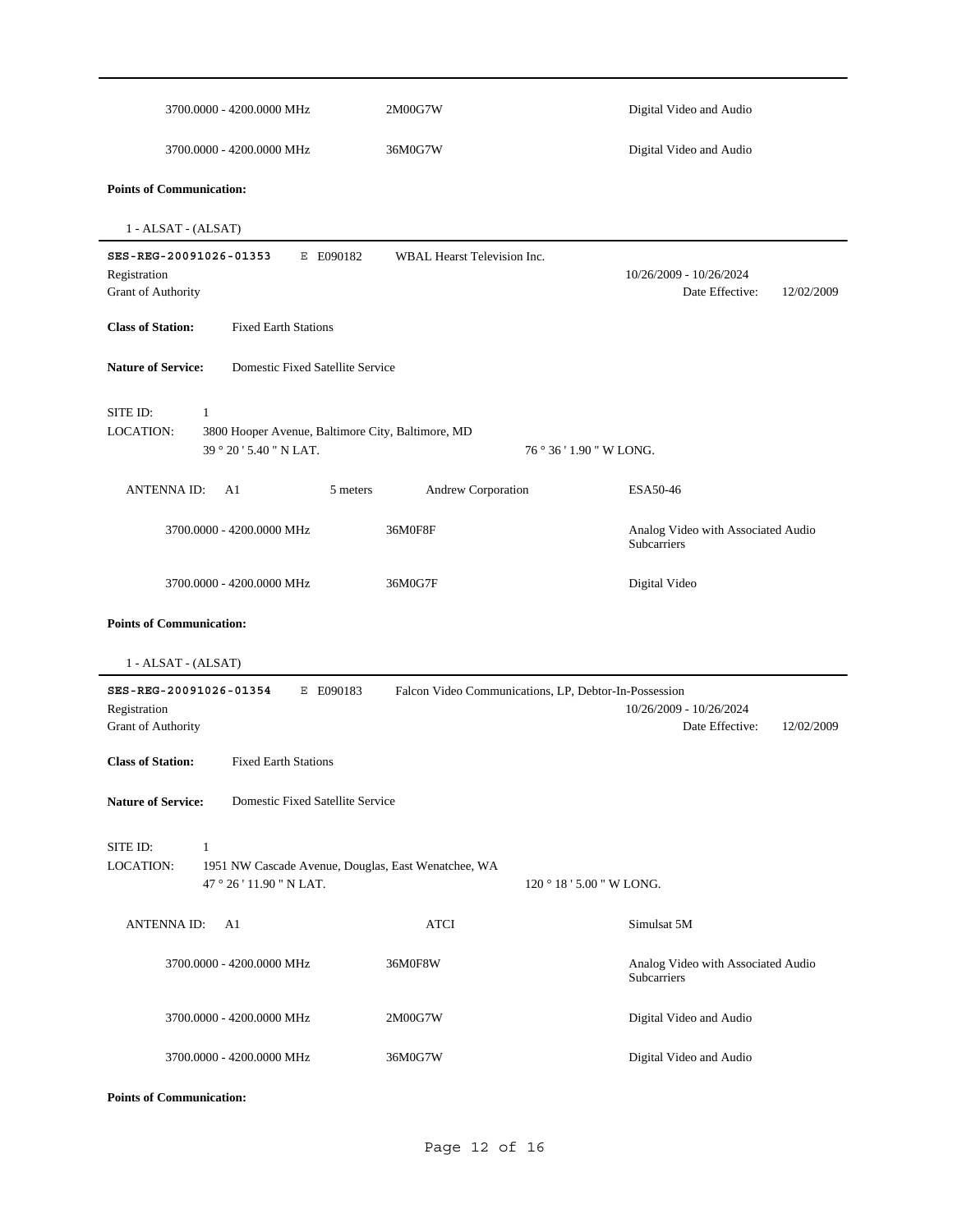| 3700.0000 - 4200.0000 MHz                                                                                                       | 2M00G7W                                               | Digital Video and Audio                                  |
|---------------------------------------------------------------------------------------------------------------------------------|-------------------------------------------------------|----------------------------------------------------------|
| 3700.0000 - 4200.0000 MHz                                                                                                       | 36M0G7W                                               |                                                          |
| <b>Points of Communication:</b>                                                                                                 |                                                       |                                                          |
| $1 - ALSAT - (ALSAT)$                                                                                                           |                                                       |                                                          |
| SES-REG-20091026-01353<br>E E090182<br>Registration<br>Grant of Authority                                                       | WBAL Hearst Television Inc.                           | 10/26/2009 - 10/26/2024<br>Date Effective:<br>12/02/2009 |
| <b>Class of Station:</b><br><b>Fixed Earth Stations</b>                                                                         |                                                       |                                                          |
| Domestic Fixed Satellite Service<br><b>Nature of Service:</b>                                                                   |                                                       |                                                          |
| SITE ID:<br>$\mathbf{1}$<br><b>LOCATION:</b><br>3800 Hooper Avenue, Baltimore City, Baltimore, MD<br>39 ° 20 ' 5.40 " N LAT.    | 76 ° 36 ' 1.90 " W LONG.                              |                                                          |
| <b>ANTENNAID:</b><br>A1<br>5 meters                                                                                             | <b>Andrew Corporation</b>                             | ESA50-46                                                 |
| 3700.0000 - 4200.0000 MHz                                                                                                       | 36M0F8F                                               | Analog Video with Associated Audio<br>Subcarriers        |
| 3700.0000 - 4200.0000 MHz                                                                                                       | 36M0G7F                                               | Digital Video                                            |
| <b>Points of Communication:</b><br>1 - ALSAT - (ALSAT)                                                                          |                                                       |                                                          |
| SES-REG-20091026-01354<br>E E090183<br>Registration<br>Grant of Authority                                                       | Falcon Video Communications, LP, Debtor-In-Possession | 10/26/2009 - 10/26/2024<br>Date Effective:<br>12/02/2009 |
| <b>Class of Station:</b><br><b>Fixed Earth Stations</b>                                                                         |                                                       |                                                          |
| <b>Nature of Service:</b><br>Domestic Fixed Satellite Service                                                                   |                                                       |                                                          |
| SITE ID:<br>$\mathbf{1}$<br><b>LOCATION:</b><br>1951 NW Cascade Avenue, Douglas, East Wenatchee, WA<br>47 ° 26 ' 11.90 " N LAT. | 120 ° 18 ' 5.00 " W LONG.                             |                                                          |
| <b>ANTENNAID:</b><br>A1                                                                                                         | ATCI                                                  | Simulsat 5M                                              |
| 3700.0000 - 4200.0000 MHz                                                                                                       | 36M0F8W                                               | Analog Video with Associated Audio<br>Subcarriers        |
| 3700.0000 - 4200.0000 MHz                                                                                                       | 2M00G7W                                               | Digital Video and Audio                                  |
| 3700.0000 - 4200.0000 MHz                                                                                                       | 36M0G7W                                               | Digital Video and Audio                                  |

**Points of Communication:**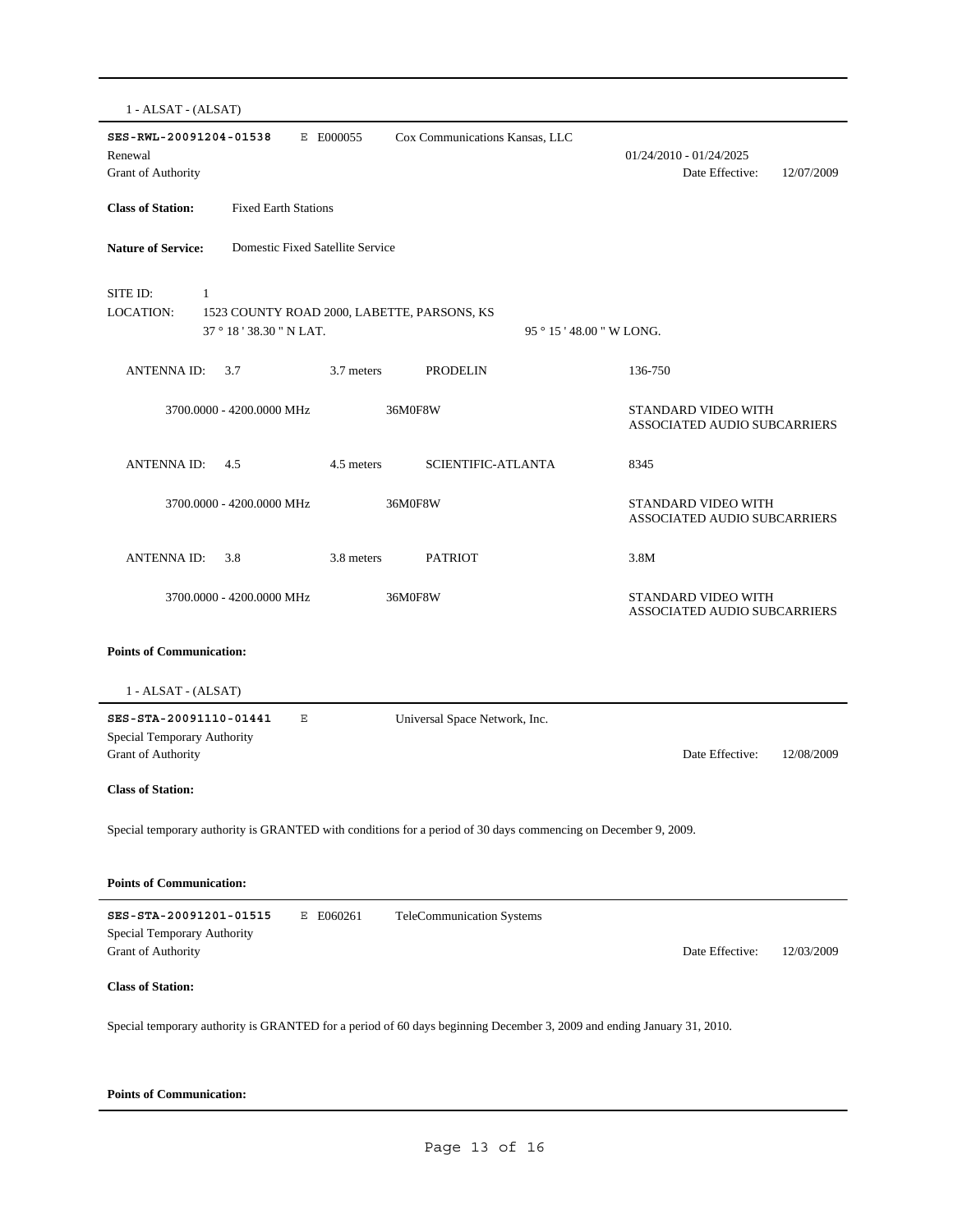1 - ALSAT - (ALSAT) **SES-RWL-20091204-01538** E E000055 Date Effective: 12/07/2009 **Class of Station:** Fixed Earth Stations Grant of Authority Renewal 01/24/2010 - 01/24/2025 Cox Communications Kansas, LLC **Nature of Service:** Domestic Fixed Satellite Service 37 ° 18 ' 38.30 " N LAT. SITE ID: 1 1523 COUNTY ROAD 2000, LABETTE, PARSONS, KS 95 ° 15 ' 48.00 " W LONG. LOCATION: ANTENNA ID: 3.7 3.7 meters PRODELIN 136-750 STANDARD VIDEO WITH ASSOCIATED AUDIO SUBCARRIERS 3700.0000 - 4200.0000 MHz 36M0F8W ANTENNA ID: 4.5 4.5 meters SCIENTIFIC-ATLANTA 8345 STANDARD VIDEO WITH ASSOCIATED AUDIO SUBCARRIERS 3700.0000 - 4200.0000 MHz 36M0F8W ANTENNA ID: 3.8 3.8 meters PATRIOT 3.8M STANDARD VIDEO WITH ASSOCIATED AUDIO SUBCARRIERS 3700.0000 - 4200.0000 MHz 36M0F8W **Points of Communication:** 1 - ALSAT - (ALSAT) **SES-STA-20091110-01441** E Date Effective: 12/08/2009 **Class of Station:** Grant of Authority Special Temporary Authority Universal Space Network, Inc. Special temporary authority is GRANTED with conditions for a period of 30 days commencing on December 9, 2009. **Points of Communication: SES-STA-20091201-01515** E E060261 Date Effective: 12/03/2009 **Class of Station:** Grant of Authority Special Temporary Authority TeleCommunication Systems Special temporary authority is GRANTED for a period of 60 days beginning December 3, 2009 and ending January 31, 2010.

#### **Points of Communication:**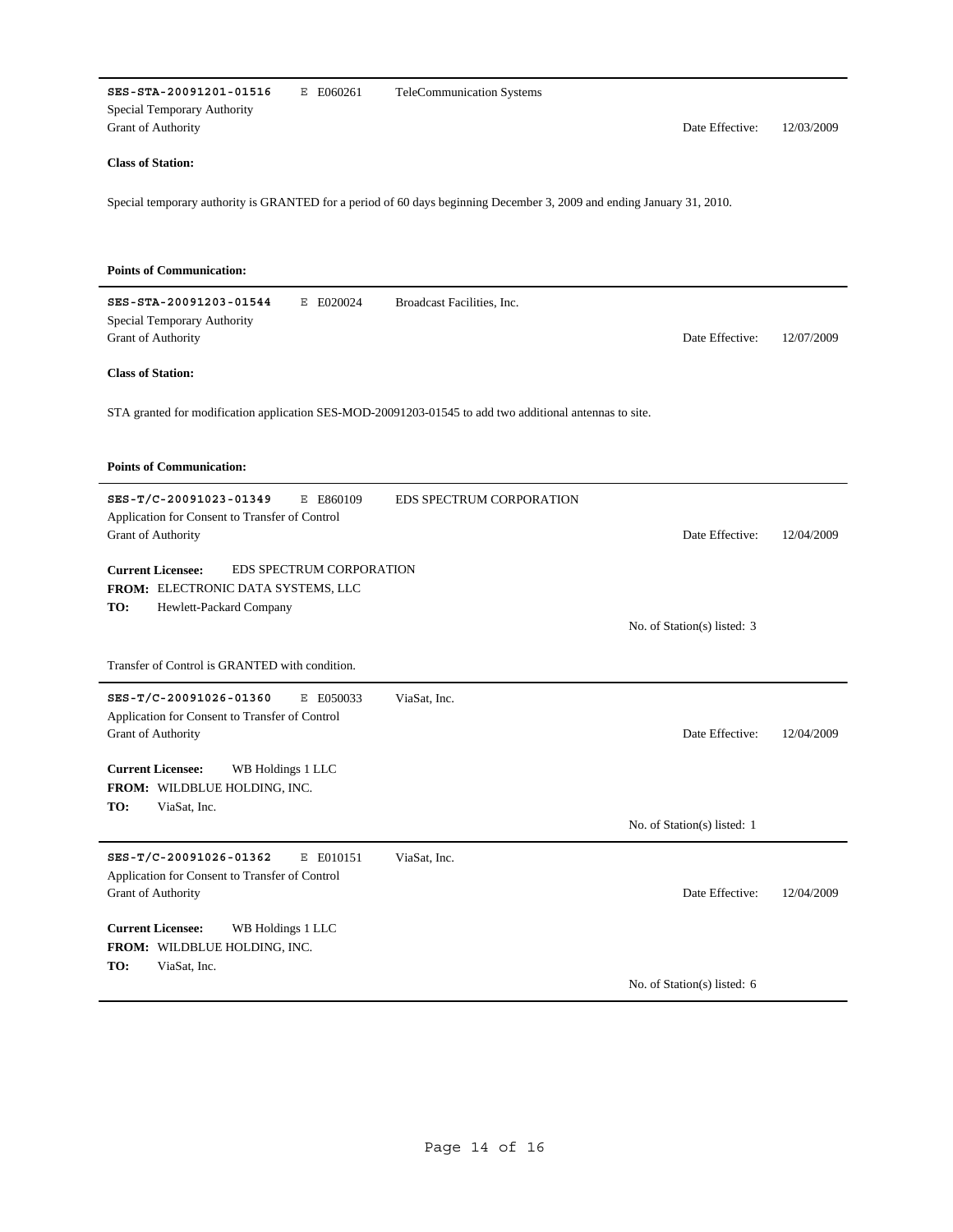| SES-STA-20091201-01516<br>E E060261                                                                     | TeleCommunication Systems                                                                                              |            |  |  |  |  |
|---------------------------------------------------------------------------------------------------------|------------------------------------------------------------------------------------------------------------------------|------------|--|--|--|--|
| Special Temporary Authority<br>Grant of Authority                                                       | Date Effective:                                                                                                        | 12/03/2009 |  |  |  |  |
| <b>Class of Station:</b>                                                                                |                                                                                                                        |            |  |  |  |  |
|                                                                                                         | Special temporary authority is GRANTED for a period of 60 days beginning December 3, 2009 and ending January 31, 2010. |            |  |  |  |  |
|                                                                                                         |                                                                                                                        |            |  |  |  |  |
| <b>Points of Communication:</b>                                                                         |                                                                                                                        |            |  |  |  |  |
| SES-STA-20091203-01544<br>E E020024<br>Special Temporary Authority                                      | Broadcast Facilities, Inc.                                                                                             |            |  |  |  |  |
| <b>Grant of Authority</b>                                                                               | Date Effective:                                                                                                        | 12/07/2009 |  |  |  |  |
| <b>Class of Station:</b>                                                                                |                                                                                                                        |            |  |  |  |  |
| STA granted for modification application SES-MOD-20091203-01545 to add two additional antennas to site. |                                                                                                                        |            |  |  |  |  |
| <b>Points of Communication:</b>                                                                         |                                                                                                                        |            |  |  |  |  |
| SES-T/C-20091023-01349<br>E E860109<br>Application for Consent to Transfer of Control                   | <b>EDS SPECTRUM CORPORATION</b>                                                                                        |            |  |  |  |  |
| Grant of Authority                                                                                      | Date Effective:                                                                                                        | 12/04/2009 |  |  |  |  |
| <b>Current Licensee:</b><br>EDS SPECTRUM CORPORATION                                                    |                                                                                                                        |            |  |  |  |  |
| FROM: ELECTRONIC DATA SYSTEMS, LLC<br>TO:<br>Hewlett-Packard Company                                    |                                                                                                                        |            |  |  |  |  |
|                                                                                                         | No. of Station(s) listed: 3                                                                                            |            |  |  |  |  |
| Transfer of Control is GRANTED with condition.                                                          |                                                                                                                        |            |  |  |  |  |
| SES-T/C-20091026-01360<br>E E050033                                                                     | ViaSat, Inc.                                                                                                           |            |  |  |  |  |
| Application for Consent to Transfer of Control<br>Grant of Authority                                    | Date Effective:                                                                                                        | 12/04/2009 |  |  |  |  |
| <b>Current Licensee:</b><br>WB Holdings 1 LLC                                                           |                                                                                                                        |            |  |  |  |  |
| FROM: WILDBLUE HOLDING, INC.<br>TO:<br>ViaSat, Inc.                                                     |                                                                                                                        |            |  |  |  |  |
|                                                                                                         | No. of Station(s) listed: 1                                                                                            |            |  |  |  |  |
| SES-T/C-20091026-01362<br>E E010151<br>Application for Consent to Transfer of Control                   | ViaSat, Inc.                                                                                                           |            |  |  |  |  |
| <b>Grant of Authority</b>                                                                               | Date Effective:                                                                                                        | 12/04/2009 |  |  |  |  |
| <b>Current Licensee:</b><br>WB Holdings 1 LLC                                                           |                                                                                                                        |            |  |  |  |  |
| FROM: WILDBLUE HOLDING, INC.<br>TO:<br>ViaSat, Inc.                                                     |                                                                                                                        |            |  |  |  |  |
|                                                                                                         | No. of Station(s) listed: 6                                                                                            |            |  |  |  |  |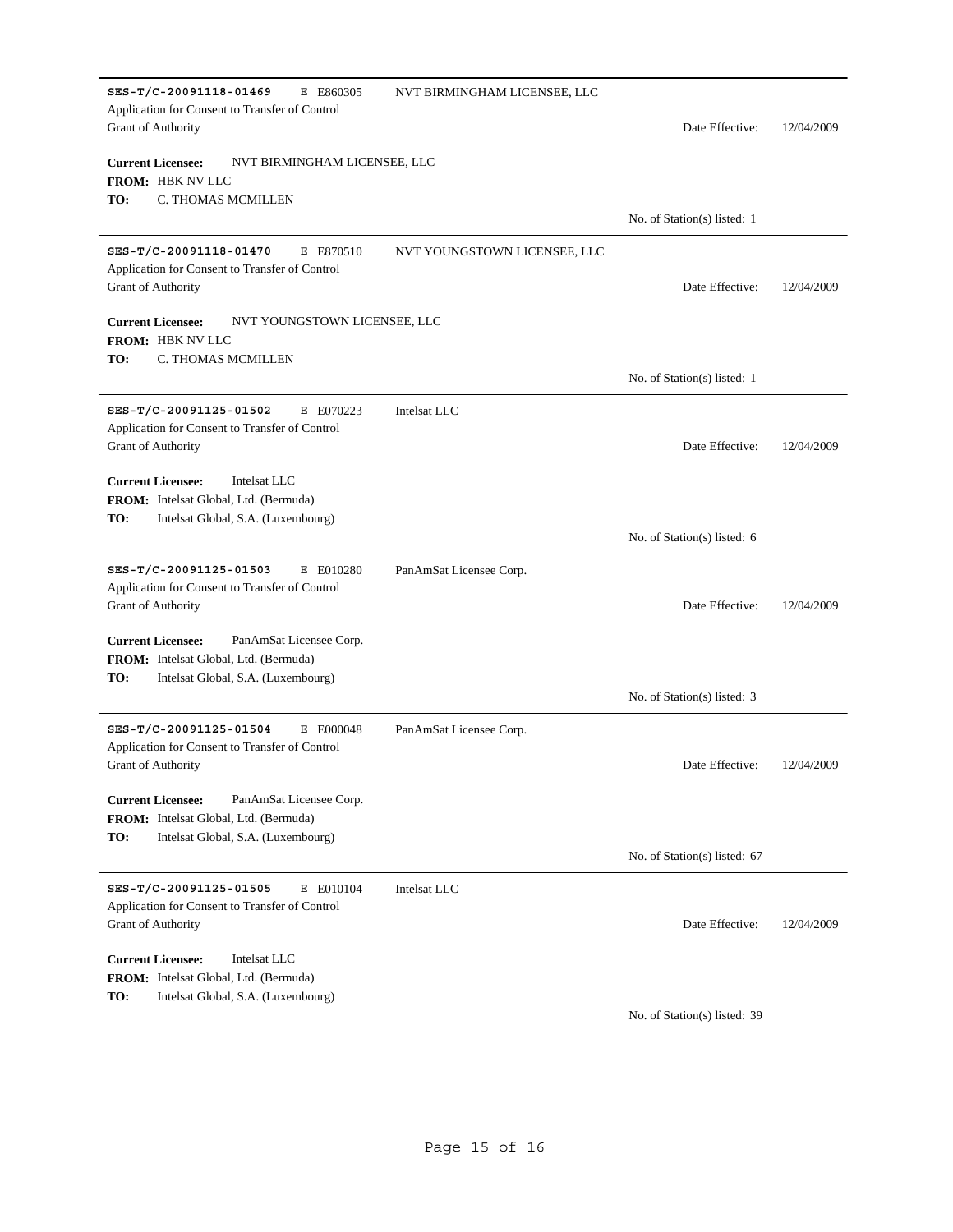| SES-T/C-20091118-01469<br>E E860305<br>Application for Consent to Transfer of Control<br><b>Grant of Authority</b>                        | NVT BIRMINGHAM LICENSEE, LLC | Date Effective:              | 12/04/2009 |  |  |
|-------------------------------------------------------------------------------------------------------------------------------------------|------------------------------|------------------------------|------------|--|--|
| <b>Current Licensee:</b><br>NVT BIRMINGHAM LICENSEE, LLC<br>FROM: HBK NV LLC                                                              |                              |                              |            |  |  |
| C. THOMAS MCMILLEN<br>TO:                                                                                                                 |                              | No. of Station(s) listed: 1  |            |  |  |
| SES-T/C-20091118-01470<br>E E870510<br>Application for Consent to Transfer of Control<br>Grant of Authority                               | NVT YOUNGSTOWN LICENSEE, LLC | Date Effective:              | 12/04/2009 |  |  |
| <b>Current Licensee:</b><br>NVT YOUNGSTOWN LICENSEE, LLC<br>FROM: HBK NV LLC                                                              |                              |                              |            |  |  |
| TO:<br>C. THOMAS MCMILLEN                                                                                                                 |                              | No. of Station(s) listed: 1  |            |  |  |
| SES-T/C-20091125-01502<br>E E070223<br>Application for Consent to Transfer of Control<br>Grant of Authority                               | Intelsat LLC                 | Date Effective:              | 12/04/2009 |  |  |
| <b>Current Licensee:</b><br>Intelsat LLC<br><b>FROM:</b> Intelsat Global, Ltd. (Bermuda)<br>TO:<br>Intelsat Global, S.A. (Luxembourg)     |                              | No. of Station(s) listed: 6  |            |  |  |
| SES-T/C-20091125-01503<br>E E010280<br>Application for Consent to Transfer of Control<br>Grant of Authority                               | PanAmSat Licensee Corp.      | Date Effective:              | 12/04/2009 |  |  |
| <b>Current Licensee:</b><br>PanAmSat Licensee Corp.<br>FROM: Intelsat Global, Ltd. (Bermuda)<br>TO:<br>Intelsat Global, S.A. (Luxembourg) |                              |                              |            |  |  |
| SES-T/C-20091125-01504<br>E E000048                                                                                                       | PanAmSat Licensee Corp.      | No. of Station(s) listed: 3  |            |  |  |
| Application for Consent to Transfer of Control<br>Grant of Authority                                                                      |                              | Date Effective:              | 12/04/2009 |  |  |
| <b>Current Licensee:</b><br>PanAmSat Licensee Corp.<br>FROM: Intelsat Global, Ltd. (Bermuda)<br>TO:<br>Intelsat Global, S.A. (Luxembourg) |                              |                              |            |  |  |
|                                                                                                                                           |                              | No. of Station(s) listed: 67 |            |  |  |
| SES-T/C-20091125-01505<br>E E010104<br>Application for Consent to Transfer of Control<br><b>Grant of Authority</b>                        | Intelsat LLC                 | Date Effective:              | 12/04/2009 |  |  |
| <b>Current Licensee:</b><br>Intelsat LLC<br><b>FROM:</b> Intelsat Global, Ltd. (Bermuda)<br>TO:<br>Intelsat Global, S.A. (Luxembourg)     |                              |                              |            |  |  |
|                                                                                                                                           |                              | No. of Station(s) listed: 39 |            |  |  |